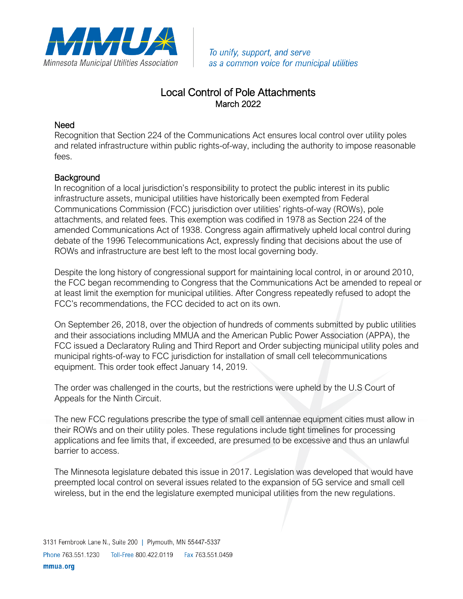

To unify, support, and serve as a common voice for municipal utilities

## Local Control of Pole Attachments March 2022

## Need

Recognition that Section 224 of the Communications Act ensures local control over utility poles and related infrastructure within public rights-of-way, including the authority to impose reasonable fees.

## **Background**

In recognition of a local jurisdiction's responsibility to protect the public interest in its public infrastructure assets, municipal utilities have historically been exempted from Federal Communications Commission (FCC) jurisdiction over utilities' rights-of-way (ROWs), pole attachments, and related fees. This exemption was codified in 1978 as Section 224 of the amended Communications Act of 1938. Congress again affirmatively upheld local control during debate of the 1996 Telecommunications Act, expressly finding that decisions about the use of ROWs and infrastructure are best left to the most local governing body.

Despite the long history of congressional support for maintaining local control, in or around 2010, the FCC began recommending to Congress that the Communications Act be amended to repeal or at least limit the exemption for municipal utilities. After Congress repeatedly refused to adopt the FCC's recommendations, the FCC decided to act on its own.

On September 26, 2018, over the objection of hundreds of comments submitted by public utilities and their associations including MMUA and the American Public Power Association (APPA), the FCC issued a Declaratory Ruling and Third Report and Order subjecting municipal utility poles and municipal rights-of-way to FCC jurisdiction for installation of small cell telecommunications equipment. This order took effect January 14, 2019.

The order was challenged in the courts, but the restrictions were upheld by the U.S Court of Appeals for the Ninth Circuit.

The new FCC regulations prescribe the type of small cell antennae equipment cities must allow in their ROWs and on their utility poles. These regulations include tight timelines for processing applications and fee limits that, if exceeded, are presumed to be excessive and thus an unlawful barrier to access.

The Minnesota legislature debated this issue in 2017. Legislation was developed that would have preempted local control on several issues related to the expansion of 5G service and small cell wireless, but in the end the legislature exempted municipal utilities from the new regulations.